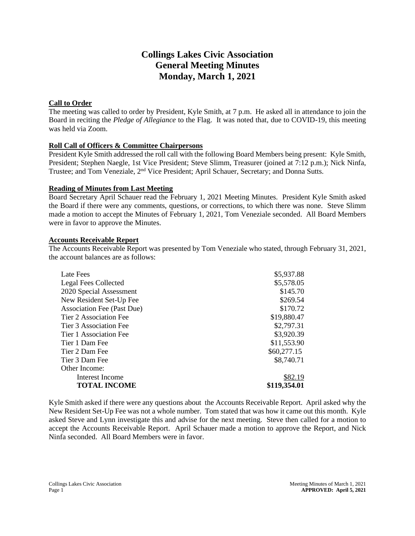# **Collings Lakes Civic Association General Meeting Minutes Monday, March 1, 2021**

## **Call to Order**

The meeting was called to order by President, Kyle Smith, at 7 p.m. He asked all in attendance to join the Board in reciting the *Pledge of Allegiance* to the Flag. It was noted that, due to COVID-19, this meeting was held via Zoom.

## **Roll Call of Officers & Committee Chairpersons**

President Kyle Smith addressed the roll call with the following Board Members being present: Kyle Smith, President; Stephen Naegle, 1st Vice President; Steve Slimm, Treasurer (joined at 7:12 p.m.); Nick Ninfa, Trustee; and Tom Veneziale, 2nd Vice President; April Schauer, Secretary; and Donna Sutts.

## **Reading of Minutes from Last Meeting**

Board Secretary April Schauer read the February 1, 2021 Meeting Minutes. President Kyle Smith asked the Board if there were any comments, questions, or corrections, to which there was none. Steve Slimm made a motion to accept the Minutes of February 1, 2021, Tom Veneziale seconded. All Board Members were in favor to approve the Minutes.

#### **Accounts Receivable Report**

The Accounts Receivable Report was presented by Tom Veneziale who stated, through February 31, 2021, the account balances are as follows:

| Late Fees                         | \$5,937.88   |
|-----------------------------------|--------------|
| <b>Legal Fees Collected</b>       | \$5,578.05   |
| 2020 Special Assessment           | \$145.70     |
| New Resident Set-Up Fee           | \$269.54     |
| <b>Association Fee (Past Due)</b> | \$170.72     |
| Tier 2 Association Fee            | \$19,880.47  |
| Tier 3 Association Fee            | \$2,797.31   |
| Tier 1 Association Fee            | \$3,920.39   |
| Tier 1 Dam Fee                    | \$11,553.90  |
| Tier 2 Dam Fee                    | \$60,277.15  |
| Tier 3 Dam Fee                    | \$8,740.71   |
| Other Income:                     |              |
| Interest Income                   | \$82.19      |
| <b>TOTAL INCOME</b>               | \$119,354.01 |

Kyle Smith asked if there were any questions about the Accounts Receivable Report. April asked why the New Resident Set-Up Fee was not a whole number. Tom stated that was how it came out this month. Kyle asked Steve and Lynn investigate this and advise for the next meeting. Steve then called for a motion to accept the Accounts Receivable Report. April Schauer made a motion to approve the Report, and Nick Ninfa seconded. All Board Members were in favor.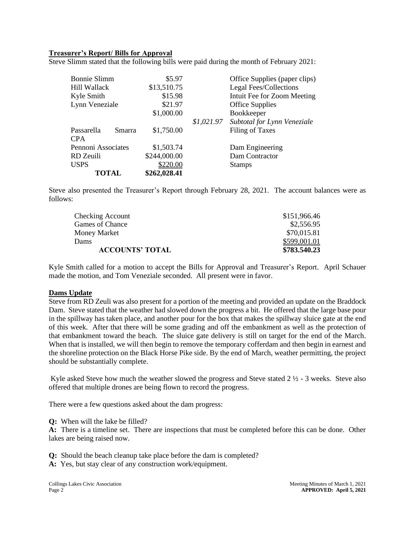#### **Treasurer's Report/ Bills for Approval**

Steve Slimm stated that the following bills were paid during the month of February 2021:

| TOTAL                | \$262,028.41 |            |                               |  |
|----------------------|--------------|------------|-------------------------------|--|
| <b>USPS</b>          | \$220.00     |            | <b>Stamps</b>                 |  |
| RD Zeuili            | \$244,000.00 |            | Dam Contractor                |  |
| Pennoni Associates   | \$1,503.74   |            | Dam Engineering               |  |
| <b>CPA</b>           |              |            |                               |  |
| Passarella<br>Smarra | \$1,750.00   |            | Filing of Taxes               |  |
|                      |              | \$1,021.97 | Subtotal for Lynn Veneziale   |  |
|                      | \$1,000.00   |            | Bookkeeper                    |  |
| Lynn Veneziale       | \$21.97      |            | <b>Office Supplies</b>        |  |
| Kyle Smith           | \$15.98      |            | Intuit Fee for Zoom Meeting   |  |
| Hill Wallack         | \$13,510.75  |            | Legal Fees/Collections        |  |
| <b>Bonnie Slimm</b>  | \$5.97       |            | Office Supplies (paper clips) |  |
|                      |              |            |                               |  |

Steve also presented the Treasurer's Report through February 28, 2021. The account balances were as follows:

| Checking Account       | \$151,966.46 |
|------------------------|--------------|
| Games of Chance        | \$2,556.95   |
| Money Market           | \$70,015.81  |
| Dams                   | \$599,001.01 |
| <b>ACCOUNTS' TOTAL</b> | \$783.540.23 |

Kyle Smith called for a motion to accept the Bills for Approval and Treasurer's Report. April Schauer made the motion, and Tom Veneziale seconded. All present were in favor.

#### **Dams Update**

Steve from RD Zeuli was also present for a portion of the meeting and provided an update on the Braddock Dam. Steve stated that the weather had slowed down the progress a bit. He offered that the large base pour in the spillway has taken place, and another pour for the box that makes the spillway sluice gate at the end of this week. After that there will be some grading and off the embankment as well as the protection of that embankment toward the beach. The sluice gate delivery is still on target for the end of the March. When that is installed, we will then begin to remove the temporary cofferdam and then begin in earnest and the shoreline protection on the Black Horse Pike side. By the end of March, weather permitting, the project should be substantially complete.

Kyle asked Steve how much the weather slowed the progress and Steve stated  $2\frac{1}{2}$  - 3 weeks. Steve also offered that multiple drones are being flown to record the progress.

There were a few questions asked about the dam progress:

**Q:** When will the lake be filled?

**A:** There is a timeline set. There are inspections that must be completed before this can be done. Other lakes are being raised now.

**Q:** Should the beach cleanup take place before the dam is completed?

**A:** Yes, but stay clear of any construction work/equipment.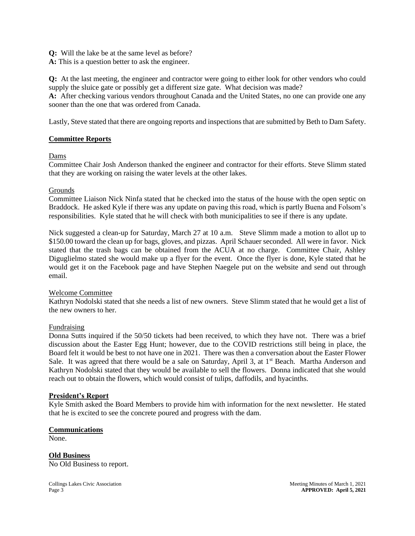**Q:** Will the lake be at the same level as before?

**A:** This is a question better to ask the engineer.

**Q:** At the last meeting, the engineer and contractor were going to either look for other vendors who could supply the sluice gate or possibly get a different size gate. What decision was made?

**A:** After checking various vendors throughout Canada and the United States, no one can provide one any sooner than the one that was ordered from Canada.

Lastly, Steve stated that there are ongoing reports and inspections that are submitted by Beth to Dam Safety.

#### **Committee Reports**

#### Dams

Committee Chair Josh Anderson thanked the engineer and contractor for their efforts. Steve Slimm stated that they are working on raising the water levels at the other lakes.

#### Grounds

Committee Liaison Nick Ninfa stated that he checked into the status of the house with the open septic on Braddock. He asked Kyle if there was any update on paving this road, which is partly Buena and Folsom's responsibilities. Kyle stated that he will check with both municipalities to see if there is any update.

Nick suggested a clean-up for Saturday, March 27 at 10 a.m. Steve Slimm made a motion to allot up to \$150.00 toward the clean up for bags, gloves, and pizzas. April Schauer seconded. All were in favor. Nick stated that the trash bags can be obtained from the ACUA at no charge. Committee Chair, Ashley Diguglielmo stated she would make up a flyer for the event. Once the flyer is done, Kyle stated that he would get it on the Facebook page and have Stephen Naegele put on the website and send out through email.

#### Welcome Committee

Kathryn Nodolski stated that she needs a list of new owners. Steve Slimm stated that he would get a list of the new owners to her.

#### Fundraising

Donna Sutts inquired if the 50/50 tickets had been received, to which they have not. There was a brief discussion about the Easter Egg Hunt; however, due to the COVID restrictions still being in place, the Board felt it would be best to not have one in 2021. There was then a conversation about the Easter Flower Sale. It was agreed that there would be a sale on Saturday, April 3, at 1<sup>st</sup> Beach. Martha Anderson and Kathryn Nodolski stated that they would be available to sell the flowers. Donna indicated that she would reach out to obtain the flowers, which would consist of tulips, daffodils, and hyacinths.

#### **President's Report**

Kyle Smith asked the Board Members to provide him with information for the next newsletter. He stated that he is excited to see the concrete poured and progress with the dam.

#### **Communications**

None.

**Old Business**  No Old Business to report.

Collings Lakes Civic Association **Meeting Minutes of March 1, 2021** Meeting Minutes of March 1, 2021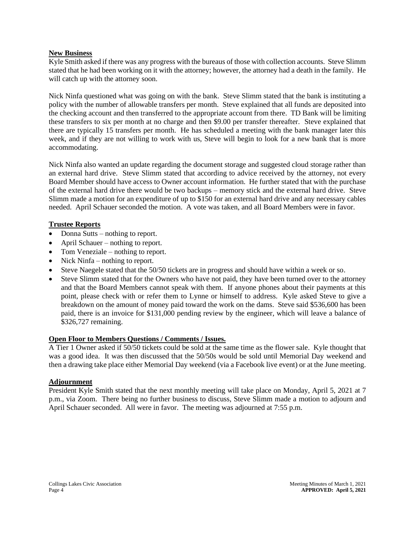#### **New Business**

Kyle Smith asked if there was any progress with the bureaus of those with collection accounts. Steve Slimm stated that he had been working on it with the attorney; however, the attorney had a death in the family. He will catch up with the attorney soon.

Nick Ninfa questioned what was going on with the bank. Steve Slimm stated that the bank is instituting a policy with the number of allowable transfers per month. Steve explained that all funds are deposited into the checking account and then transferred to the appropriate account from there. TD Bank will be limiting these transfers to six per month at no charge and then \$9.00 per transfer thereafter. Steve explained that there are typically 15 transfers per month. He has scheduled a meeting with the bank manager later this week, and if they are not willing to work with us, Steve will begin to look for a new bank that is more accommodating.

Nick Ninfa also wanted an update regarding the document storage and suggested cloud storage rather than an external hard drive. Steve Slimm stated that according to advice received by the attorney, not every Board Member should have access to Owner account information. He further stated that with the purchase of the external hard drive there would be two backups – memory stick and the external hard drive. Steve Slimm made a motion for an expenditure of up to \$150 for an external hard drive and any necessary cables needed. April Schauer seconded the motion. A vote was taken, and all Board Members were in favor.

#### **Trustee Reports**

- Donna Sutts nothing to report.
- April Schauer nothing to report.
- Tom Veneziale nothing to report.
- Nick Ninfa nothing to report.
- Steve Naegele stated that the 50/50 tickets are in progress and should have within a week or so.
- Steve Slimm stated that for the Owners who have not paid, they have been turned over to the attorney and that the Board Members cannot speak with them. If anyone phones about their payments at this point, please check with or refer them to Lynne or himself to address. Kyle asked Steve to give a breakdown on the amount of money paid toward the work on the dams. Steve said \$536,600 has been paid, there is an invoice for \$131,000 pending review by the engineer, which will leave a balance of \$326,727 remaining.

#### **Open Floor to Members Questions / Comments / Issues.**

A Tier 1 Owner asked if 50/50 tickets could be sold at the same time as the flower sale. Kyle thought that was a good idea. It was then discussed that the 50/50s would be sold until Memorial Day weekend and then a drawing take place either Memorial Day weekend (via a Facebook live event) or at the June meeting.

# **Adjournment**

President Kyle Smith stated that the next monthly meeting will take place on Monday, April 5, 2021 at 7 p.m., via Zoom. There being no further business to discuss, Steve Slimm made a motion to adjourn and April Schauer seconded. All were in favor. The meeting was adjourned at 7:55 p.m.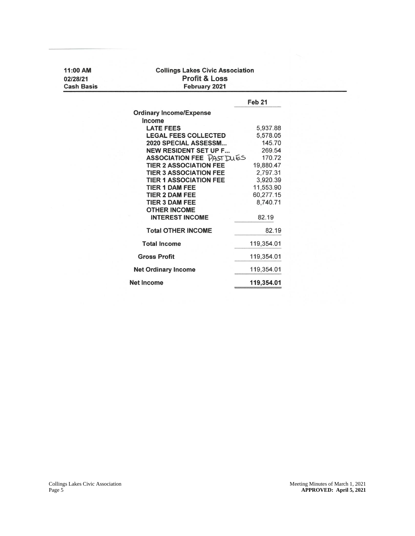| 11:00 AM<br>02/28/21 | <b>Collings Lakes Civic Association</b><br><b>Profit &amp; Loss</b> |                   |  |
|----------------------|---------------------------------------------------------------------|-------------------|--|
| <b>Cash Basis</b>    | February 2021                                                       |                   |  |
|                      |                                                                     | Feb <sub>21</sub> |  |
|                      | <b>Ordinary Income/Expense</b>                                      |                   |  |
|                      | Income                                                              |                   |  |
|                      | <b>LATE FEES</b>                                                    | 5,937.88          |  |
|                      | <b>LEGAL FEES COLLECTED</b>                                         | 5,578.05          |  |
|                      | 2020 SPECIAL ASSESSM                                                | 145.70            |  |
|                      | <b>NEW RESIDENT SET UP F</b>                                        | 269.54            |  |
|                      | ASSOCIATION FEE PAST DUES                                           | 170.72            |  |
|                      | <b>TIER 2 ASSOCIATION FEE</b>                                       | 19,880.47         |  |
|                      | <b>TIER 3 ASSOCIATION FEE</b>                                       | 2,797.31          |  |
|                      | <b>TIER 1 ASSOCIATION FEE</b>                                       | 3,920.39          |  |
|                      | <b>TIER 1 DAM FEE</b>                                               | 11,553.90         |  |
|                      | <b>TIER 2 DAM FEE</b>                                               | 60,277.15         |  |
|                      | <b>TIER 3 DAM FEE</b>                                               | 8,740.71          |  |
|                      | <b>OTHER INCOME</b>                                                 |                   |  |
|                      | <b>INTEREST INCOME</b>                                              | 82.19             |  |
|                      | <b>Total OTHER INCOME</b>                                           | 82.19             |  |
|                      | <b>Total Income</b>                                                 | 119,354.01        |  |
|                      | <b>Gross Profit</b>                                                 | 119,354.01        |  |
|                      | <b>Net Ordinary Income</b>                                          | 119,354.01        |  |
|                      | <b>Net Income</b>                                                   | 119,354.01        |  |